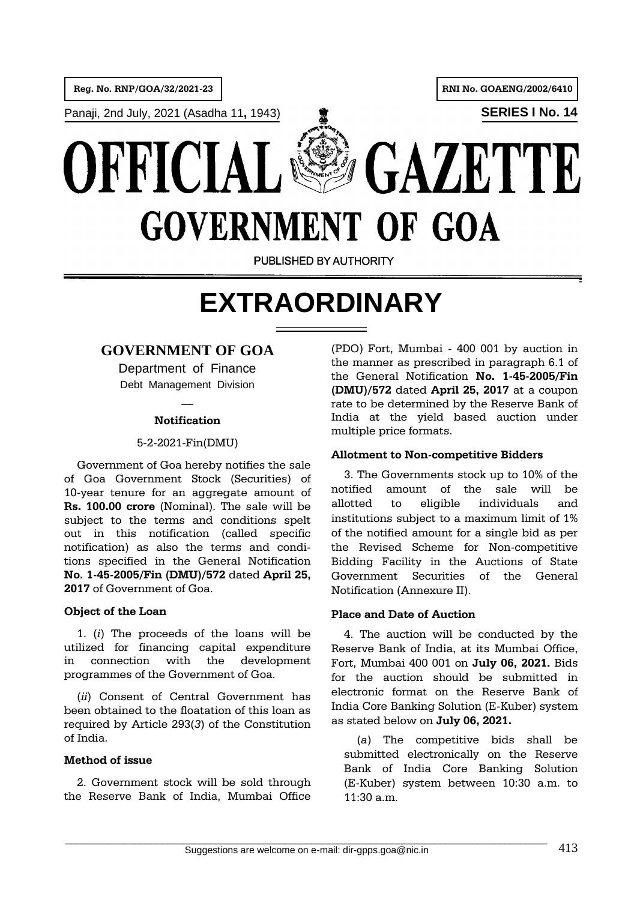**Reg. No. RNP/GOA/32/2021-23 RNI No. GOAENG/2002/6410** 

**Panaji, 2nd July, 2021 (Asadha 11, 1943) SERIES I No. 14** 





PUBLISHED BY AUTHORITY

# **EXTRAORDINARY**

# **GOVERNMENT OF GOA**

Department of Finance Debt Management Division

# **\_\_ Notification**

### 5-2-2021-Fin(DMU)

Government of Goa hereby notifies the sale of Goa Government Stock (Securities) of 10-year tenure for an aggregate amount of **Rs. 100.00 crore** (Nominal). The sale will be subject to the terms and conditions spelt out in this notification (called specific notification) as also the terms and conditions specified in the General Notification **No. 1-45-2005/Fin (DMU)/572** dated **April 25, 2017** of Government of Goa.

# **Object of the Loan**

1. (*i*) The proceeds of the loans will be utilized for financing capital expenditure in connection with the development programmes of the Government of Goa.

(*ii*) Consent of Central Government has been obtained to the floatation of this loan as required by Article 293(*3*) of the Constitution of India.

# **Method of issue**

2. Government stock will be sold through the Reserve Bank of India, Mumbai Office

(PDO) Fort, Mumbai - 400 001 by auction in the manner as prescribed in paragraph 6.1 of the General Notification **No. 1-45-2005/Fin (DMU)/572** dated **April 25, 2017** at a coupon rate to be determined by the Reserve Bank of India at the yield based auction under multiple price formats.

## **Allotment to Non-competitive Bidders**

3. The Governments stock up to 10% of the notified amount of the sale will be allotted to eligible individuals and institutions subject to a maximum limit of 1% of the notified amount for a single bid as per the Revised Scheme for Non-competitive Bidding Facility in the Auctions of State Government Securities of the General Notification (Annexure II).

# **Place and Date of Auction**

4. The auction will be conducted by the Reserve Bank of India, at its Mumbai Office, Fort, Mumbai 400 001 on **July 06, 2021.** Bids for the auction should be submitted in electronic format on the Reserve Bank of India Core Banking Solution (E-Kuber) system as stated below on **July 06, 2021.**

(*a*) The competitive bids shall be submitted electronically on the Reserve Bank of India Core Banking Solution (E-Kuber) system between 10:30 a.m. to 11:30 a.m.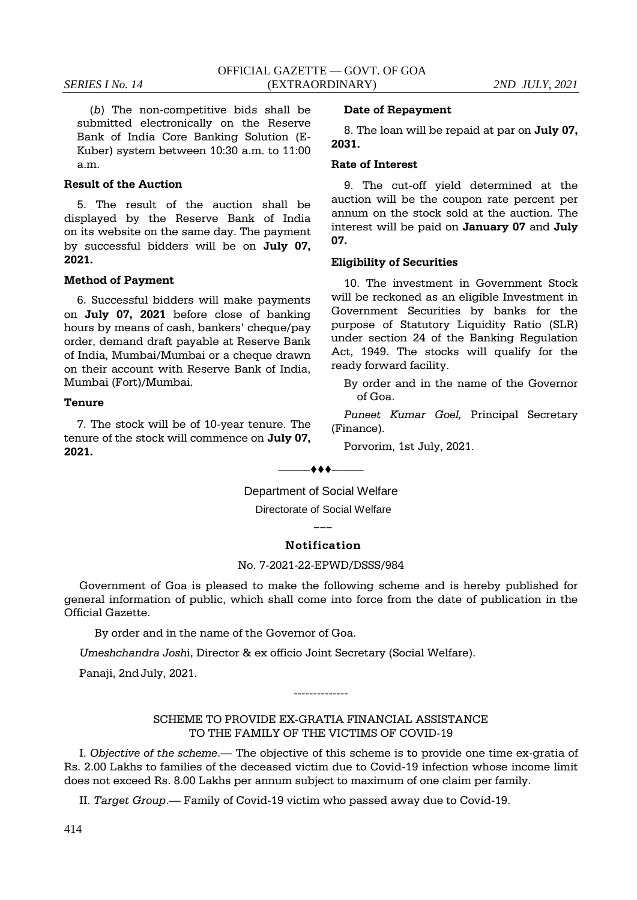(*b*) The non-competitive bids shall be submitted electronically on the Reserve Bank of India Core Banking Solution (E-Kuber) system between 10:30 a.m. to 11:00 a.m.

#### **Result of the Auction**

5. The result of the auction shall be displayed by the Reserve Bank of India on its website on the same day. The payment by successful bidders will be on **July 07, 2021.**

#### **Method of Payment**

6. Successful bidders will make payments on **July 07, 2021** before close of banking hours by means of cash, bankers' cheque/pay order, demand draft payable at Reserve Bank of India, Mumbai/Mumbai or a cheque drawn on their account with Reserve Bank of India, Mumbai (Fort)/Mumbai.

#### **Tenure**

7. The stock will be of 10-year tenure. The tenure of the stock will commence on **July 07, 2021.**

#### **Date of Repayment**

8. The loan will be repaid at par on **July 07, 2031.**

#### **Rate of Interest**

9. The cut-off yield determined at the auction will be the coupon rate percent per annum on the stock sold at the auction. The interest will be paid on **January 07** and **July 07.**

#### **Eligibility of Securities**

10. The investment in Government Stock will be reckoned as an eligible Investment in Government Securities by banks for the purpose of Statutory Liquidity Ratio (SLR) under section 24 of the Banking Regulation Act, 1949. The stocks will qualify for the ready forward facility.

By order and in the name of the Governor of Goa.

*Puneet Kumar Goel,* Principal Secretary (Finance).

Porvorim, 1st July, 2021.

Department of Social Welfare

 $-$  + + + $-$ 

Directorate of Social Welfare **\_\_\_**

#### **Notification**

#### No. 7-2021-22-EPWD/DSSS/984

Government of Goa is pleased to make the following scheme and is hereby published for general information of public, which shall come into force from the date of publication in the Official Gazette.

By order and in the name of the Governor of Goa.

*Umeshchandra Josh*i, Director & ex officio Joint Secretary (Social Welfare).

Panaji, 2ndJuly, 2021.

SCHEME TO PROVIDE EX-GRATIA FINANCIAL ASSISTANCE TO THE FAMILY OF THE VICTIMS OF COVID-19

--------------

I. *Objective of the scheme*.— The objective of this scheme is to provide one time ex-gratia of Rs. 2.00 Lakhs to families of the deceased victim due to Covid-19 infection whose income limit does not exceed Rs. 8.00 Lakhs per annum subject to maximum of one claim per family.

II. *Target Group*.— Family of Covid-19 victim who passed away due to Covid-19.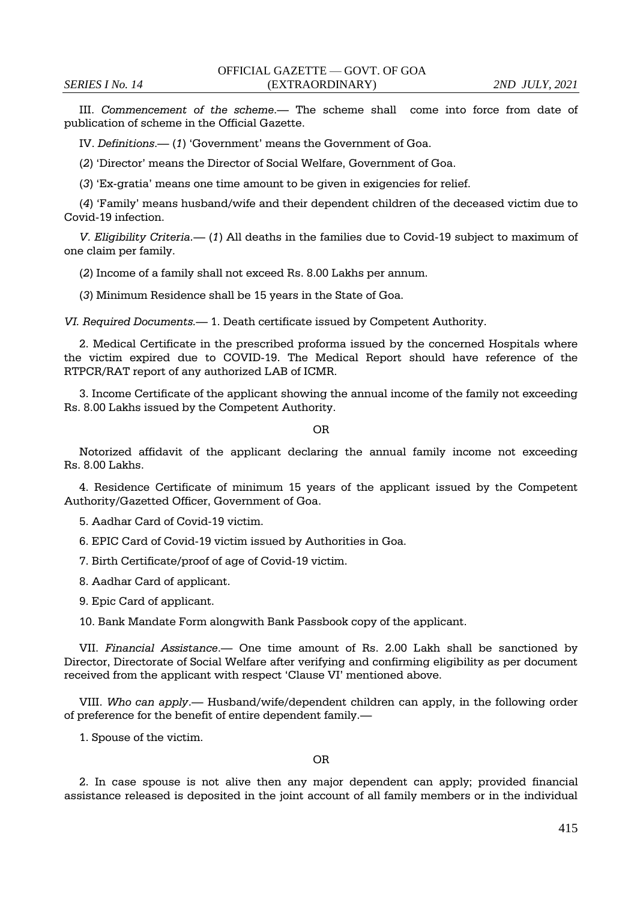III. *Commencement of the scheme*.— The scheme shall come into force from date of publication of scheme in the Official Gazette.

IV. *Definitions*.— (*1*) 'Government' means the Government of Goa.

(*2*) 'Director' means the Director of Social Welfare, Government of Goa.

(*3*) 'Ex-gratia' means one time amount to be given in exigencies for relief.

(*4*) 'Family' means husband/wife and their dependent children of the deceased victim due to Covid-19 infection.

*V. Eligibility Criteria.—* (*1*) All deaths in the families due to Covid-19 subject to maximum of one claim per family.

(*2*) Income of a family shall not exceed Rs. 8.00 Lakhs per annum.

(*3*) Minimum Residence shall be 15 years in the State of Goa.

*VI. Required Documents.—* 1. Death certificate issued by Competent Authority.

2. Medical Certificate in the prescribed proforma issued by the concerned Hospitals where the victim expired due to COVID-19. The Medical Report should have reference of the RTPCR/RAT report of any authorized LAB of ICMR.

3. Income Certificate of the applicant showing the annual income of the family not exceeding Rs. 8.00 Lakhs issued by the Competent Authority.

OR

Notorized affidavit of the applicant declaring the annual family income not exceeding Rs. 8.00 Lakhs.

4. Residence Certificate of minimum 15 years of the applicant issued by the Competent Authority/Gazetted Officer, Government of Goa.

5. Aadhar Card of Covid-19 victim.

6. EPIC Card of Covid-19 victim issued by Authorities in Goa.

7. Birth Certificate/proof of age of Covid-19 victim.

8. Aadhar Card of applicant.

9. Epic Card of applicant.

10. Bank Mandate Form alongwith Bank Passbook copy of the applicant.

VII. *Financial Assistance*.— One time amount of Rs. 2.00 Lakh shall be sanctioned by Director, Directorate of Social Welfare after verifying and confirming eligibility as per document received from the applicant with respect 'Clause VI' mentioned above.

VIII. *Who can apply*.— Husband/wife/dependent children can apply, in the following order of preference for the benefit of entire dependent family.—

1. Spouse of the victim.

OR

2. In case spouse is not alive then any major dependent can apply; provided financial assistance released is deposited in the joint account of all family members or in the individual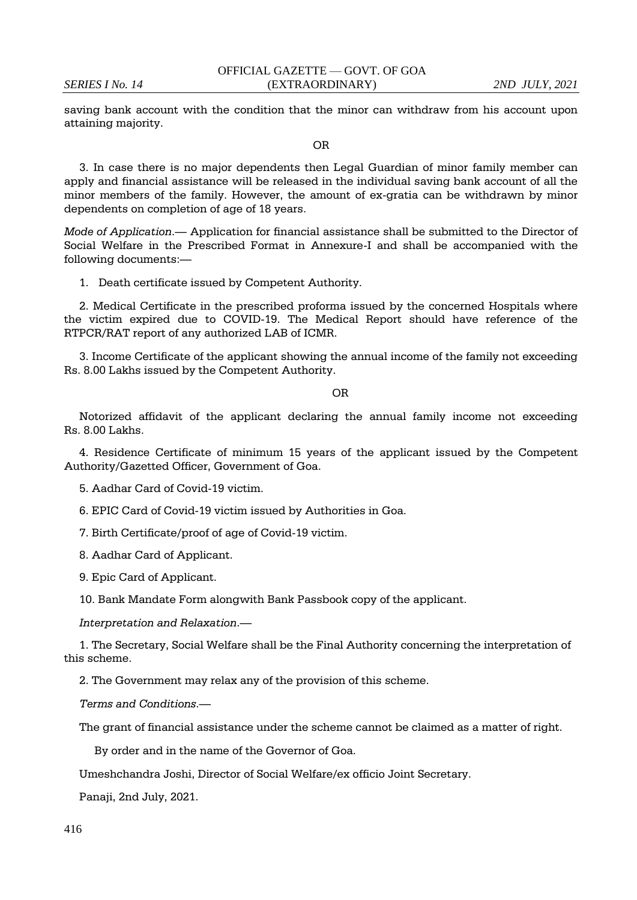saving bank account with the condition that the minor can withdraw from his account upon attaining majority.

OR

3. In case there is no major dependents then Legal Guardian of minor family member can apply and financial assistance will be released in the individual saving bank account of all the minor members of the family. However, the amount of ex-gratia can be withdrawn by minor dependents on completion of age of 18 years.

*Mode of Application*.— Application for financial assistance shall be submitted to the Director of Social Welfare in the Prescribed Format in Annexure-I and shall be accompanied with the following documents:—

1. Death certificate issued by Competent Authority.

2. Medical Certificate in the prescribed proforma issued by the concerned Hospitals where the victim expired due to COVID-19. The Medical Report should have reference of the RTPCR/RAT report of any authorized LAB of ICMR.

3. Income Certificate of the applicant showing the annual income of the family not exceeding Rs. 8.00 Lakhs issued by the Competent Authority.

OR

Notorized affidavit of the applicant declaring the annual family income not exceeding Rs. 8.00 Lakhs.

4. Residence Certificate of minimum 15 years of the applicant issued by the Competent Authority/Gazetted Officer, Government of Goa.

5. Aadhar Card of Covid-19 victim.

6. EPIC Card of Covid-19 victim issued by Authorities in Goa.

7. Birth Certificate/proof of age of Covid-19 victim.

8. Aadhar Card of Applicant.

9. Epic Card of Applicant.

10. Bank Mandate Form alongwith Bank Passbook copy of the applicant.

*Interpretation and Relaxation*.—

1. The Secretary, Social Welfare shall be the Final Authority concerning the interpretation of this scheme.

2. The Government may relax any of the provision of this scheme.

*Terms and Conditions*.—

The grant of financial assistance under the scheme cannot be claimed as a matter of right.

By order and in the name of the Governor of Goa.

Umeshchandra Joshi, Director of Social Welfare/ex officio Joint Secretary.

Panaji, 2nd July, 2021.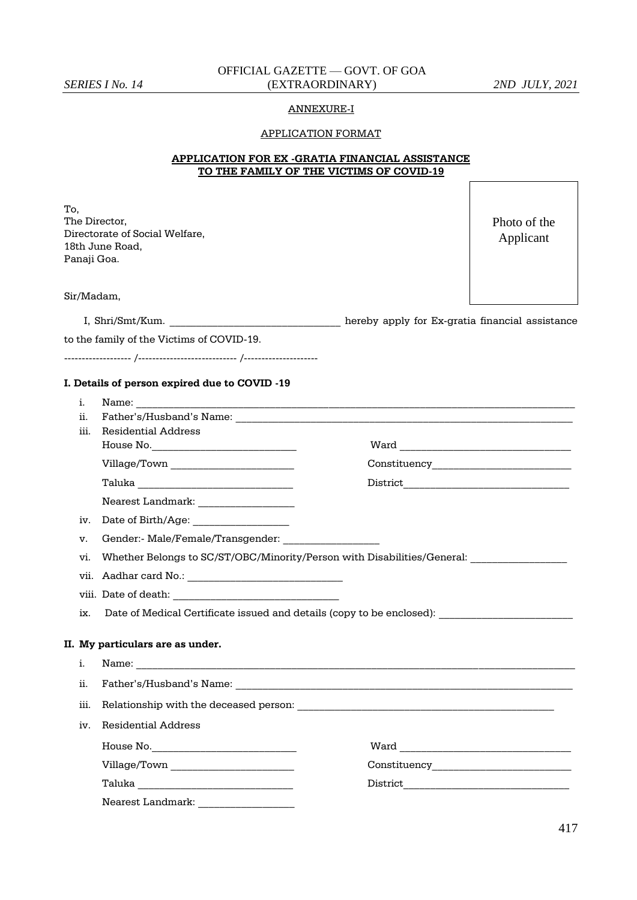# OFFICIAL GAZETTE — GOVT. OF GOA *SERIES I No. 14* (EXTRAORDINARY) *2ND JULY, 2021*

#### ANNEXURE-I

#### APPLICATION FORMAT

|  |                                          | APPLICATION FOR EX -GRATIA FINANCIAL ASSISTANCE |
|--|------------------------------------------|-------------------------------------------------|
|  | TO THE FAMILY OF THE VICTIMS OF COVID-19 |                                                 |

To, The Director, Directorate of Social Welfare, 18th June Road, Panaji Goa.

Photo of the Applicant

Sir/Madam,

I, Shri/Smt/Kum. \_\_\_\_\_\_\_\_\_\_\_\_\_\_\_\_\_\_\_\_\_\_\_\_\_\_\_\_\_\_\_\_ hereby apply for Ex-gratia financial assistance

|  |  |  |  |  |  | to the family of the Victims of COVID-19. |  |
|--|--|--|--|--|--|-------------------------------------------|--|
|--|--|--|--|--|--|-------------------------------------------|--|

------------------- /---------------------------- /---------------------

#### **I. Details of person expired due to COVID -19**

- i. Name: \_\_\_\_\_\_\_\_\_\_\_\_\_\_\_\_\_\_\_\_\_\_\_\_\_\_\_\_\_\_\_\_\_\_\_\_\_\_\_\_\_\_\_\_\_\_\_\_\_\_\_\_\_\_\_\_\_\_\_\_\_\_\_\_\_\_\_\_\_\_\_\_\_\_\_\_\_\_\_\_\_\_
- ii. Father's/Husband's Name:
- iii. Residential Address
	- House No.\_\_\_\_\_\_\_\_\_\_\_\_\_\_\_\_\_\_\_\_\_\_\_\_\_\_\_ Ward \_\_\_\_\_\_\_\_\_\_\_\_\_\_\_\_\_\_\_\_\_\_\_\_\_\_\_\_\_\_\_\_

Village/Town \_\_\_\_\_\_\_\_\_\_\_\_\_\_\_\_\_\_\_\_\_\_\_ Constituency\_\_\_\_\_\_\_\_\_\_\_\_\_\_\_\_\_\_\_\_\_\_\_\_\_\_

Taluka \_\_\_\_\_\_\_\_\_\_\_\_\_\_\_\_\_\_\_\_\_\_\_\_\_\_\_\_\_ District\_\_\_\_\_\_\_\_\_\_\_\_\_\_\_\_\_\_\_\_\_\_\_\_\_\_\_\_\_\_\_

Nearest Landmark: \_\_\_\_\_\_\_\_\_\_\_\_\_\_\_\_\_\_

- iv. Date of Birth/Age: \_\_\_\_\_\_\_\_\_\_\_\_\_\_\_\_\_\_
- v. Gender:- Male/Female/Transgender:
- vi. Whether Belongs to SC/ST/OBC/Minority/Person with Disabilities/General:
- vii. Aadhar card No.: \_\_\_\_\_\_\_\_\_\_\_\_\_\_\_\_\_\_\_\_\_\_\_\_\_\_\_\_\_
- viii. Date of death:
- ix. Date of Medical Certificate issued and details (copy to be enclosed): \_\_\_\_\_\_\_\_\_\_\_\_

#### **II. My particulars are as under.**

| i.  | Name:                                                                                                                            |                                       |
|-----|----------------------------------------------------------------------------------------------------------------------------------|---------------------------------------|
| ii. |                                                                                                                                  |                                       |
|     |                                                                                                                                  |                                       |
| iv. | Residential Address                                                                                                              |                                       |
|     |                                                                                                                                  | Ward <u>_________________________</u> |
|     |                                                                                                                                  | Constituency _______________________  |
|     | Taluka<br><u> 1989 - Johann Stein, mars et al. 1989 - Anna ann an t-Amhair ann an t-Amhair ann an t-Amhair ann an t-Amhair a</u> |                                       |
|     | Nearest Landmark:                                                                                                                |                                       |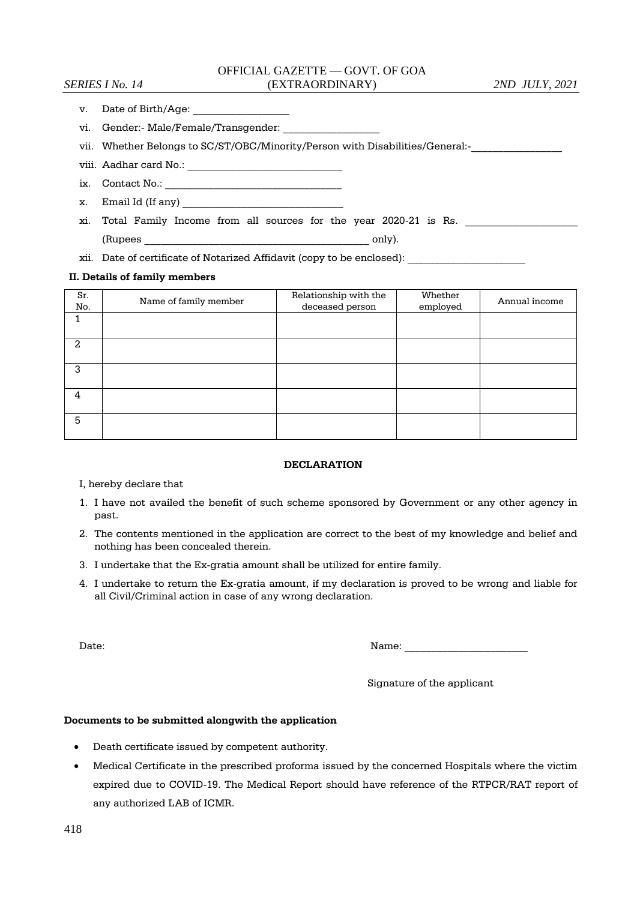# OFFICIAL GAZETTE — GOVT. OF GOA *SERIES I No. 14* (EXTRAORDINARY) *2ND JULY, 2021*

- v. Date of Birth/Age:
- vi. Gender:- Male/Female/Transgender:

vii. Whether Belongs to SC/ST/OBC/Minority/Person with Disabilities/General:-

viii. Aadhar card No.: \_\_\_\_\_\_\_\_\_\_\_\_\_\_\_\_\_\_\_\_\_\_\_\_\_\_\_\_\_

- ix. Contact No.: \_\_\_\_\_\_\_\_\_\_\_\_\_\_\_\_\_\_\_\_\_\_\_\_\_\_\_\_\_\_\_\_\_
- x. Email Id (If any)
- xi. Total Family Income from all sources for the year 2020-21 is Rs.

(Rupees only).

xii. Date of certificate of Notarized Affidavit (copy to be enclosed):

#### **II. Details of family members**

| Sr.<br>No. | Name of family member | Relationship with the<br>deceased person | Whether<br>employed | Annual income |
|------------|-----------------------|------------------------------------------|---------------------|---------------|
|            |                       |                                          |                     |               |
| 2          |                       |                                          |                     |               |
| 3          |                       |                                          |                     |               |
| 4          |                       |                                          |                     |               |
| 5          |                       |                                          |                     |               |

#### **DECLARATION**

#### I, hereby declare that

- 1. I have not availed the benefit of such scheme sponsored by Government or any other agency in past.
- 2. The contents mentioned in the application are correct to the best of my knowledge and belief and nothing has been concealed therein.
- 3. I undertake that the Ex-gratia amount shall be utilized for entire family.
- 4. I undertake to return the Ex-gratia amount, if my declaration is proved to be wrong and liable for all Civil/Criminal action in case of any wrong declaration.

| Date. | - -<br>IN S<br>. טנוי |
|-------|-----------------------|
|       |                       |

Signature of the applicant

#### **Documents to be submitted alongwith the application**

- Death certificate issued by competent authority.
- Medical Certificate in the prescribed proforma issued by the concerned Hospitals where the victim expired due to COVID-19. The Medical Report should have reference of the RTPCR/RAT report of any authorized LAB of ICMR.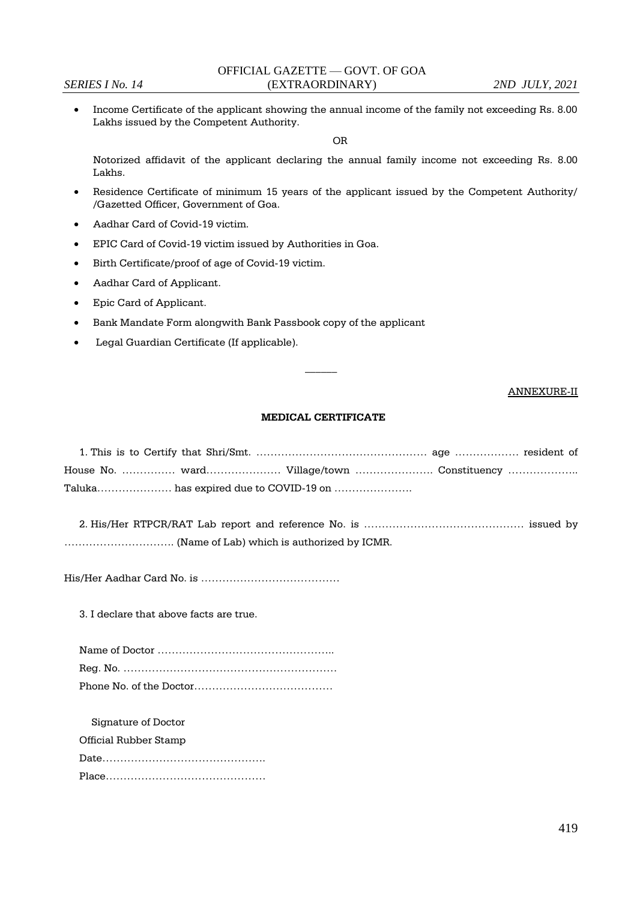Income Certificate of the applicant showing the annual income of the family not exceeding Rs. 8.00 Lakhs issued by the Competent Authority.

OR

Notorized affidavit of the applicant declaring the annual family income not exceeding Rs. 8.00 Lakhs.

- Residence Certificate of minimum 15 years of the applicant issued by the Competent Authority/ /Gazetted Officer, Government of Goa.
- Aadhar Card of Covid-19 victim.
- EPIC Card of Covid-19 victim issued by Authorities in Goa.
- Birth Certificate/proof of age of Covid-19 victim.
- Aadhar Card of Applicant.
- Epic Card of Applicant.
- Bank Mandate Form alongwith Bank Passbook copy of the applicant
- Legal Guardian Certificate (If applicable).

#### ANNEXURE-II

#### **MEDICAL CERTIFICATE**

 $\overline{\phantom{a}}$ 

|  |                                       | House No. ……………… ward…………………… Village/town …………………… Constituency …………………… |
|--|---------------------------------------|---------------------------------------------------------------------------|
|  | Taluka has expired due to COVID-19 on |                                                                           |

2. His/Her RTPCR/RAT Lab report and reference No. is ……………………………………… issued by …………………………. (Name of Lab) which is authorized by ICMR.

His/Her Aadhar Card No. is …………………………………

3. I declare that above facts are true.

Signature of Doctor Official Rubber Stamp Date………………………………………. Place………………………………………